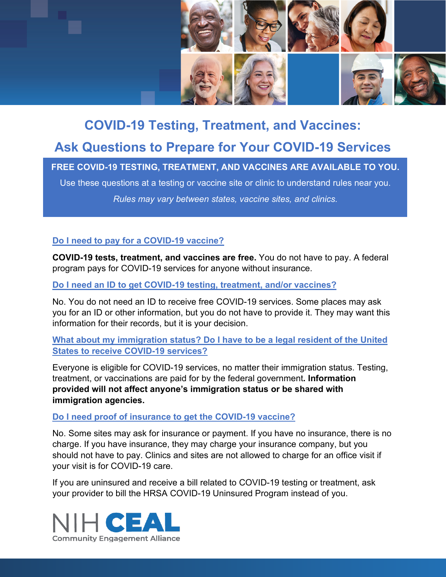

## **COVID-19 Testing, Treatment, and Vaccines: Ask Questions to Prepare for Your COVID-19 Services**

**FREE COVID-19 TESTING, TREATMENT, AND VACCINES ARE AVAILABLE TO YOU.**  Use these questions at a testing or vaccine site or clinic to understand rules near you.

*Rules may vary between states, vaccine sites, and clinics.* 

## **Do I need to pay for a COVID-19 vaccine?**

**COVID-19 tests, treatment, and vaccines are free.** You do not have to pay. A federal program pays for COVID-19 services for anyone without insurance.

**Do I need an ID to get COVID-19 testing, treatment, and/or vaccines?** 

No. You do not need an ID to receive free COVID-19 services. Some places may ask you for an ID or other information, but you do not have to provide it. They may want this information for their records, but it is your decision.

## **What about my immigration status? Do I have to be a legal resident of the United States to receive COVID-19 services?**

Everyone is eligible for COVID-19 services, no matter their immigration status. Testing, treatment, or vaccinations are paid for by the federal government**. Information provided will not affect anyone's immigration status or be shared with immigration agencies.**

## **Do I need proof of insurance to get the COVID-19 vaccine?**

No. Some sites may ask for insurance or payment. If you have no insurance, there is no charge. If you have insurance, they may charge your insurance company, but you should not have to pay. Clinics and sites are not allowed to charge for an office visit if your visit is for COVID-19 care.

If you are uninsured and receive a bill related to COVID-19 testing or treatment, ask your provider to bill the HRSA COVID-19 Uninsured Program instead of you.